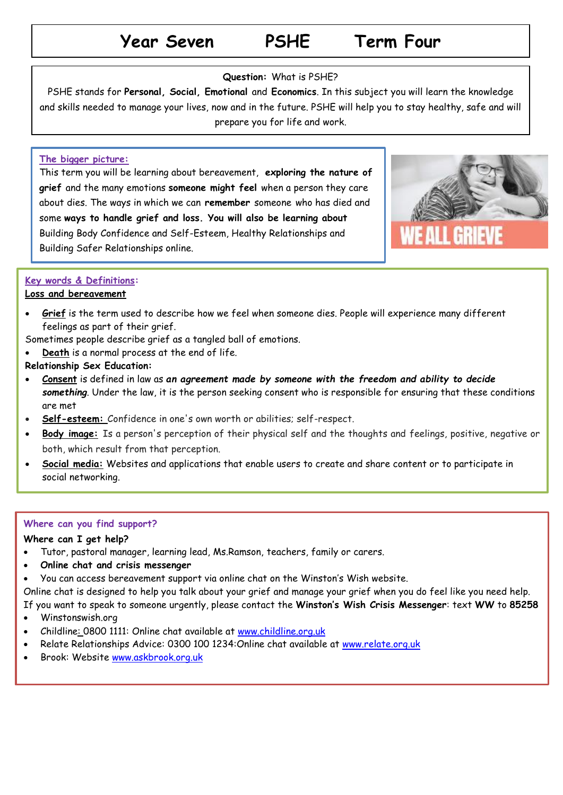## **Year Seven PSHE Term Four**

## **Question:** What is PSHE?

PSHE stands for **Personal, Social, Emotional** and **Economics**. In this subject you will learn the knowledge and skills needed to manage your lives, now and in the future. PSHE will help you to stay healthy, safe and will prepare you for life and work.

## **The bigger picture:**

This term you will be learning about bereavement, **exploring the nature of grief** and the many emotions **someone might feel** when a person they care about dies. The ways in which we can **remember** someone who has died and some **ways to handle grief and loss. You will also be learning about** Building Body Confidence and Self-Esteem, Healthy Relationships and Building Safer Relationships online.



## **Key words & Definitions:**

## **Loss and bereavement**

 **Grief** is the term used to describe how we feel when someone dies. People will experience many different feelings as part of their grief.

Sometimes people describe grief as a tangled ball of emotions.

- **Death** is a normal process at the end of life.
- **Relationship Sex Education:**
- **Consent** is defined in law as *an agreement made by someone with the freedom and ability to decide something*. Under the law, it is the person seeking consent who is responsible for ensuring that these conditions are met
- **Self-esteem:** Confidence in one's own worth or abilities; self-respect.
- **Body image:** Is a person's perception of their physical self and the thoughts and feelings, positive, negative or both, which result from that perception.
- **Social media:** Websites and applications that enable users to create and share content or to participate in social networking.

## **Where can you find support?**

## **Where can I get help?**

- Tutor, pastoral manager, learning lead, Ms.Ramson, teachers, family or carers.
- **Online chat and crisis messenger**
- You can access bereavement support via online chat on the Winston's Wish website.

Online chat is designed to help you talk about your grief and manage your grief when you do feel like you need help.

If you want to speak to someone urgently, please contact the **Winston's Wish Crisis Messenger**: text **WW** to **85258**

- Winstonswish.org
- Childline: 0800 1111: Online chat available at [www.childline.org.uk](http://www.childline.org.uk/)
- Relate Relationships Advice: 0300 100 1234:Online chat available at [www.relate.org.uk](http://www.relate.org.uk/)
- Brook: Website [www.askbrook.org.uk](http://www.askbrook.org.uk/)